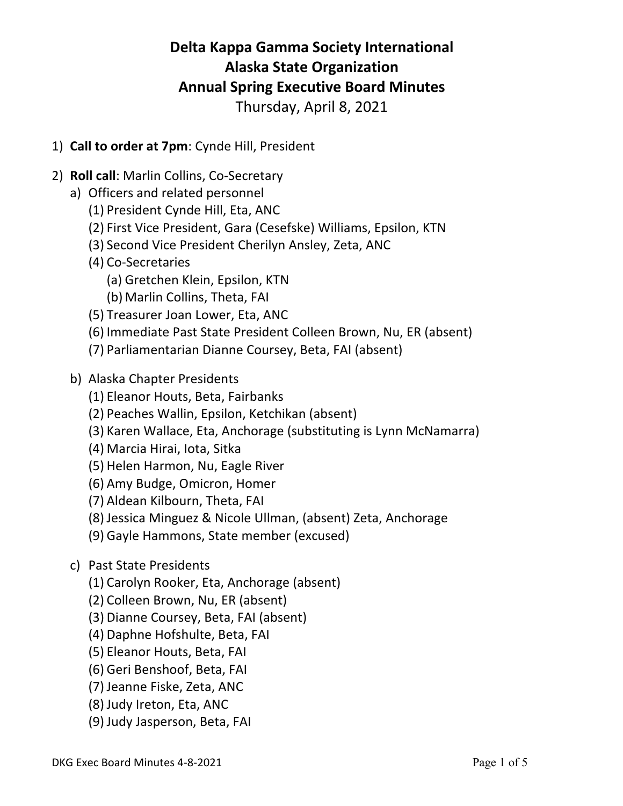# **Delta Kappa Gamma Society International Alaska State Organization Annual Spring Executive Board Minutes**

Thursday, April 8, 2021

- 1) **Call to order at 7pm**: Cynde Hill, President
- 2) **Roll call**: Marlin Collins, Co-Secretary
	- a) Officers and related personnel
		- (1) President Cynde Hill, Eta, ANC
		- (2) First Vice President, Gara (Cesefske) Williams, Epsilon, KTN
		- (3) Second Vice President Cherilyn Ansley, Zeta, ANC
		- (4) Co-Secretaries
			- (a) Gretchen Klein, Epsilon, KTN
			- (b) Marlin Collins, Theta, FAI
		- (5) Treasurer Joan Lower, Eta, ANC
		- (6) Immediate Past State President Colleen Brown, Nu, ER (absent)
		- (7) Parliamentarian Dianne Coursey, Beta, FAI (absent)
	- b) Alaska Chapter Presidents
		- (1) Eleanor Houts, Beta, Fairbanks
		- (2) Peaches Wallin, Epsilon, Ketchikan (absent)
		- (3) Karen Wallace, Eta, Anchorage (substituting is Lynn McNamarra)
		- (4) Marcia Hirai, Iota, Sitka
		- (5) Helen Harmon, Nu, Eagle River
		- (6) Amy Budge, Omicron, Homer
		- (7) Aldean Kilbourn, Theta, FAI
		- (8) Jessica Minguez & Nicole Ullman, (absent) Zeta, Anchorage
		- (9) Gayle Hammons, State member (excused)
	- c) Past State Presidents
		- (1) Carolyn Rooker, Eta, Anchorage (absent)
		- (2) Colleen Brown, Nu, ER (absent)
		- (3) Dianne Coursey, Beta, FAI (absent)
		- (4) Daphne Hofshulte, Beta, FAI
		- (5) Eleanor Houts, Beta, FAI
		- (6) Geri Benshoof, Beta, FAI
		- (7) Jeanne Fiske, Zeta, ANC
		- (8) Judy Ireton, Eta, ANC
		- (9) Judy Jasperson, Beta, FAI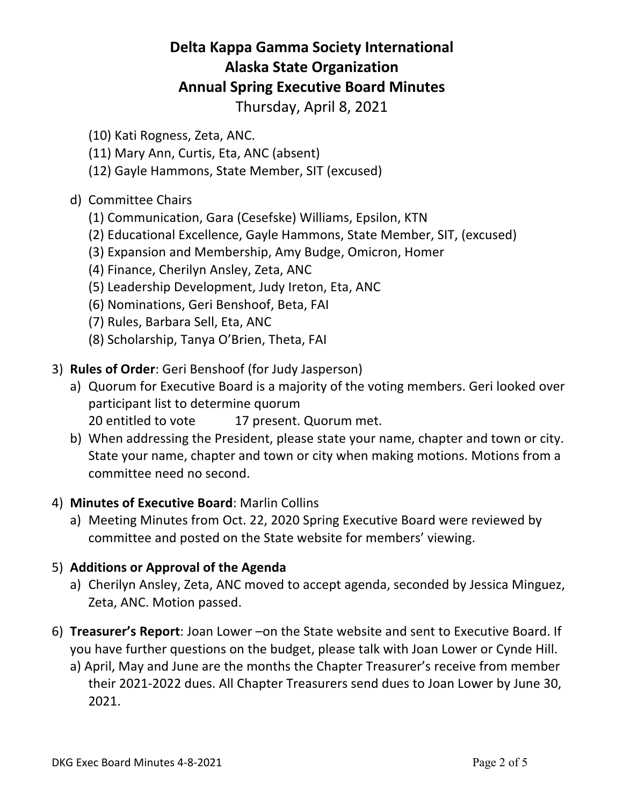## **Delta Kappa Gamma Society International Alaska State Organization Annual Spring Executive Board Minutes**

Thursday, April 8, 2021

- (10) Kati Rogness, Zeta, ANC.
- (11) Mary Ann, Curtis, Eta, ANC (absent)
- (12) Gayle Hammons, State Member, SIT (excused)

#### d) Committee Chairs

- (1) Communication, Gara (Cesefske) Williams, Epsilon, KTN
- (2) Educational Excellence, Gayle Hammons, State Member, SIT, (excused)
- (3) Expansion and Membership, Amy Budge, Omicron, Homer
- (4) Finance, Cherilyn Ansley, Zeta, ANC
- (5) Leadership Development, Judy Ireton, Eta, ANC
- (6) Nominations, Geri Benshoof, Beta, FAI
- (7) Rules, Barbara Sell, Eta, ANC
- (8) Scholarship, Tanya O'Brien, Theta, FAI
- 3) **Rules of Order**: Geri Benshoof (for Judy Jasperson)
	- a) Quorum for Executive Board is a majority of the voting members. Geri looked over participant list to determine quorum
		- 20 entitled to vote 17 present. Quorum met.
	- b) When addressing the President, please state your name, chapter and town or city. State your name, chapter and town or city when making motions. Motions from a committee need no second.

#### 4) **Minutes of Executive Board**: Marlin Collins

a) Meeting Minutes from Oct. 22, 2020 Spring Executive Board were reviewed by committee and posted on the State website for members' viewing.

#### 5) **Additions or Approval of the Agenda**

- a) Cherilyn Ansley, Zeta, ANC moved to accept agenda, seconded by Jessica Minguez, Zeta, ANC. Motion passed.
- 6) **Treasurer's Report**: Joan Lower –on the State website and sent to Executive Board. If you have further questions on the budget, please talk with Joan Lower or Cynde Hill.
	- a) April, May and June are the months the Chapter Treasurer's receive from member their 2021-2022 dues. All Chapter Treasurers send dues to Joan Lower by June 30, 2021.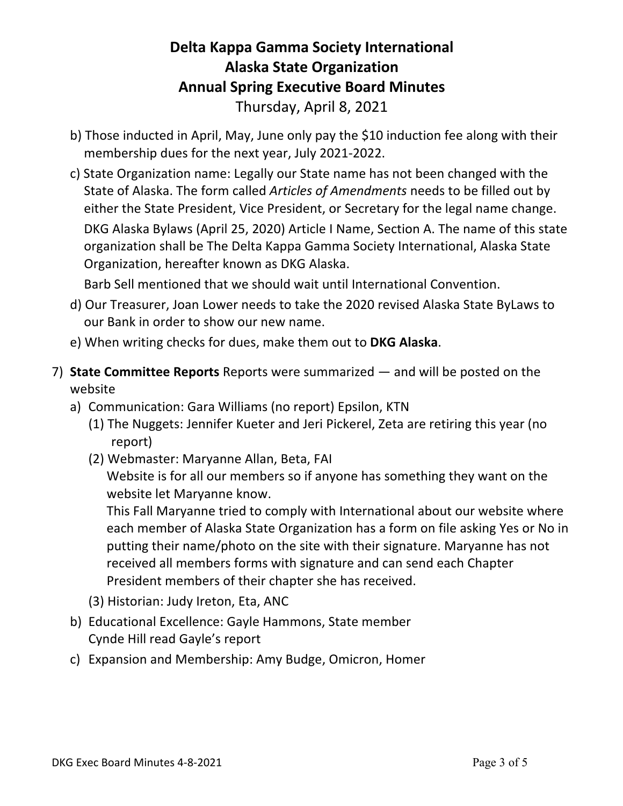### **Delta Kappa Gamma Society International Alaska State Organization Annual Spring Executive Board Minutes** Thursday, April 8, 2021

- b) Those inducted in April, May, June only pay the \$10 induction fee along with their membership dues for the next year, July 2021-2022.
- c) State Organization name: Legally our State name has not been changed with the State of Alaska. The form called *Articles of Amendments* needs to be filled out by either the State President, Vice President, or Secretary for the legal name change. DKG Alaska Bylaws (April 25, 2020) Article I Name, Section A. The name of this state organization shall be The Delta Kappa Gamma Society International, Alaska State Organization, hereafter known as DKG Alaska.

Barb Sell mentioned that we should wait until International Convention.

- d) Our Treasurer, Joan Lower needs to take the 2020 revised Alaska State ByLaws to our Bank in order to show our new name.
- e) When writing checks for dues, make them out to **DKG Alaska**.
- 7) **State Committee Reports** Reports were summarized and will be posted on the website
	- a) Communication: Gara Williams (no report) Epsilon, KTN
		- (1) The Nuggets: Jennifer Kueter and Jeri Pickerel, Zeta are retiring this year (no report)
		- (2) Webmaster: Maryanne Allan, Beta, FAI

Website is for all our members so if anyone has something they want on the website let Maryanne know.

This Fall Maryanne tried to comply with International about our website where each member of Alaska State Organization has a form on file asking Yes or No in putting their name/photo on the site with their signature. Maryanne has not received all members forms with signature and can send each Chapter President members of their chapter she has received.

- (3) Historian: Judy Ireton, Eta, ANC
- b) Educational Excellence: Gayle Hammons, State member Cynde Hill read Gayle's report
- c) Expansion and Membership: Amy Budge, Omicron, Homer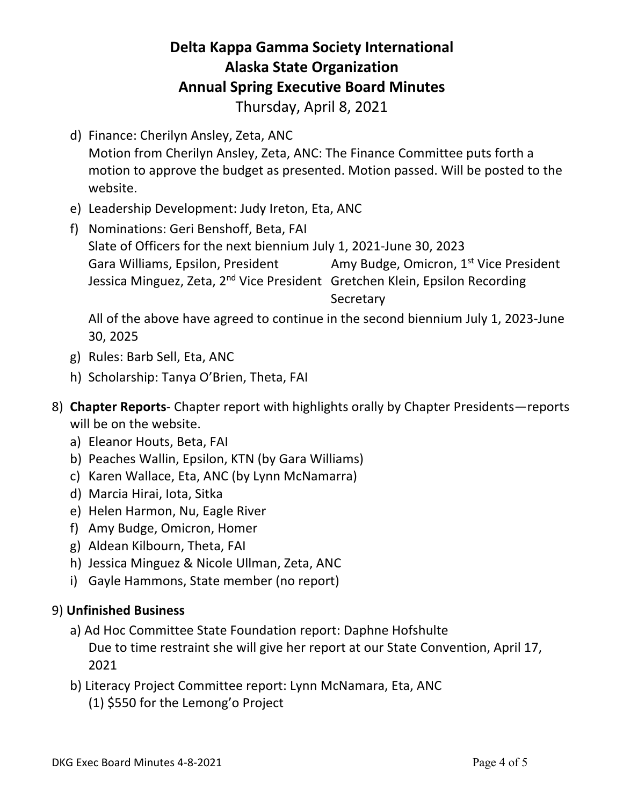## **Delta Kappa Gamma Society International Alaska State Organization Annual Spring Executive Board Minutes**

Thursday, April 8, 2021

- d) Finance: Cherilyn Ansley, Zeta, ANC Motion from Cherilyn Ansley, Zeta, ANC: The Finance Committee puts forth a motion to approve the budget as presented. Motion passed. Will be posted to the website.
- e) Leadership Development: Judy Ireton, Eta, ANC
- f) Nominations: Geri Benshoff, Beta, FAI Slate of Officers for the next biennium July 1, 2021-June 30, 2023 Gara Williams, Epsilon, President Amy Budge, Omicron, 1<sup>st</sup> Vice President Jessica Minguez, Zeta, 2<sup>nd</sup> Vice President Gretchen Klein, Epsilon Recording **Secretary**

All of the above have agreed to continue in the second biennium July 1, 2023-June 30, 2025

- g) Rules: Barb Sell, Eta, ANC
- h) Scholarship: Tanya O'Brien, Theta, FAI
- 8) **Chapter Reports** Chapter report with highlights orally by Chapter Presidents—reports will be on the website.
	- a) Eleanor Houts, Beta, FAI
	- b) Peaches Wallin, Epsilon, KTN (by Gara Williams)
	- c) Karen Wallace, Eta, ANC (by Lynn McNamarra)
	- d) Marcia Hirai, Iota, Sitka
	- e) Helen Harmon, Nu, Eagle River
	- f) Amy Budge, Omicron, Homer
	- g) Aldean Kilbourn, Theta, FAI
	- h) Jessica Minguez & Nicole Ullman, Zeta, ANC
	- i) Gayle Hammons, State member (no report)

#### 9) **Unfinished Business**

- a) Ad Hoc Committee State Foundation report: Daphne Hofshulte Due to time restraint she will give her report at our State Convention, April 17, 2021
- b) Literacy Project Committee report: Lynn McNamara, Eta, ANC
	- (1) \$550 for the Lemong'o Project